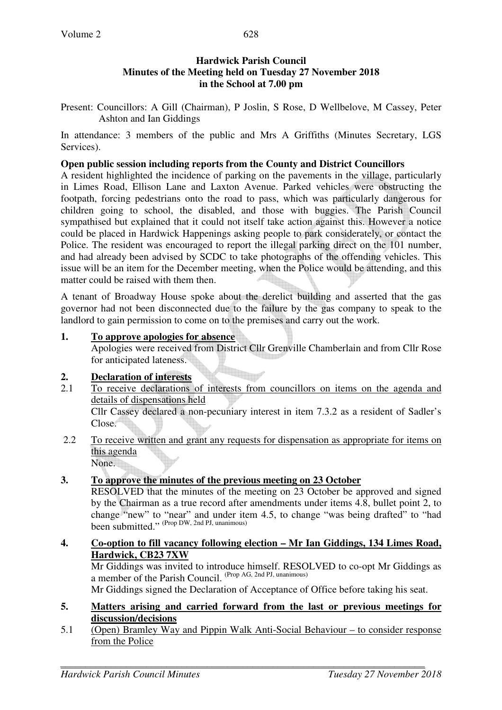# **Hardwick Parish Council Minutes of the Meeting held on Tuesday 27 November 2018 in the School at 7.00 pm**

Present: Councillors: A Gill (Chairman), P Joslin, S Rose, D Wellbelove, M Cassey, Peter Ashton and Ian Giddings

In attendance: 3 members of the public and Mrs A Griffiths (Minutes Secretary, LGS Services).

# **Open public session including reports from the County and District Councillors**

A resident highlighted the incidence of parking on the pavements in the village, particularly in Limes Road, Ellison Lane and Laxton Avenue. Parked vehicles were obstructing the footpath, forcing pedestrians onto the road to pass, which was particularly dangerous for children going to school, the disabled, and those with buggies. The Parish Council sympathised but explained that it could not itself take action against this. However a notice could be placed in Hardwick Happenings asking people to park considerately, or contact the Police. The resident was encouraged to report the illegal parking direct on the 101 number, and had already been advised by SCDC to take photographs of the offending vehicles. This issue will be an item for the December meeting, when the Police would be attending, and this matter could be raised with them then.

A tenant of Broadway House spoke about the derelict building and asserted that the gas governor had not been disconnected due to the failure by the gas company to speak to the landlord to gain permission to come on to the premises and carry out the work.

# **1. To approve apologies for absence**

Apologies were received from District Cllr Grenville Chamberlain and from Cllr Rose for anticipated lateness.

# **2. Declaration of interests**

- 2.1 To receive declarations of interests from councillors on items on the agenda and details of dispensations held Cllr Cassey declared a non-pecuniary interest in item 7.3.2 as a resident of Sadler's Close.
- 2.2 To receive written and grant any requests for dispensation as appropriate for items on this agenda None.

# **3. To approve the minutes of the previous meeting on 23 October**

RESOLVED that the minutes of the meeting on 23 October be approved and signed by the Chairman as a true record after amendments under items 4.8, bullet point 2, to change "new" to "near" and under item 4.5, to change "was being drafted" to "had been submitted." (Prop DW, 2nd PJ, unanimous)

# **4. Co-option to fill vacancy following election – Mr Ian Giddings, 134 Limes Road, Hardwick, CB23 7XW**

Mr Giddings was invited to introduce himself. RESOLVED to co-opt Mr Giddings as a member of the Parish Council. (Prop AG, 2nd PJ, unanimous)

Mr Giddings signed the Declaration of Acceptance of Office before taking his seat.

#### **5. Matters arising and carried forward from the last or previous meetings for discussion/decisions**

5.1 (Open) Bramley Way and Pippin Walk Anti-Social Behaviour – to consider response from the Police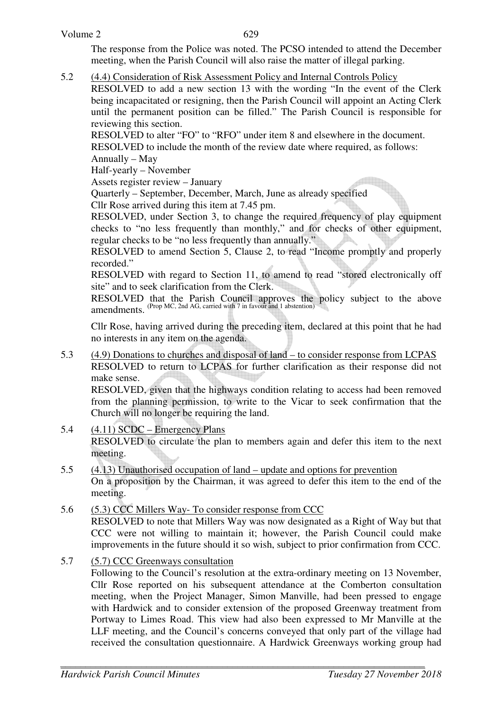The response from the Police was noted. The PCSO intended to attend the December meeting, when the Parish Council will also raise the matter of illegal parking.

5.2 (4.4) Consideration of Risk Assessment Policy and Internal Controls Policy

RESOLVED to add a new section 13 with the wording "In the event of the Clerk being incapacitated or resigning, then the Parish Council will appoint an Acting Clerk until the permanent position can be filled." The Parish Council is responsible for reviewing this section.

RESOLVED to alter "FO" to "RFO" under item 8 and elsewhere in the document. RESOLVED to include the month of the review date where required, as follows:

Annually – May

Half-yearly – November

Assets register review – January

Quarterly – September, December, March, June as already specified

Cllr Rose arrived during this item at 7.45 pm.

RESOLVED, under Section 3, to change the required frequency of play equipment checks to "no less frequently than monthly," and for checks of other equipment, regular checks to be "no less frequently than annually."

RESOLVED to amend Section 5, Clause 2, to read "Income promptly and properly recorded."

RESOLVED with regard to Section 11, to amend to read "stored electronically off site" and to seek clarification from the Clerk.

RESOLVED that the Parish Council approves the policy subject to the above amendments. (Prop MC, 2nd AG, carried with 7 in favour and 1 abstention)

Cllr Rose, having arrived during the preceding item, declared at this point that he had no interests in any item on the agenda.

5.3 (4.9) Donations to churches and disposal of land – to consider response from LCPAS RESOLVED to return to LCPAS for further clarification as their response did not make sense.

 RESOLVED, given that the highways condition relating to access had been removed from the planning permission, to write to the Vicar to seek confirmation that the Church will no longer be requiring the land.

- 5.4 (4.11) SCDC Emergency Plans RESOLVED to circulate the plan to members again and defer this item to the next meeting.
- 5.5 (4.13) Unauthorised occupation of land update and options for prevention On a proposition by the Chairman, it was agreed to defer this item to the end of the meeting.
- 5.6 (5.3) CCC Millers Way- To consider response from CCC RESOLVED to note that Millers Way was now designated as a Right of Way but that CCC were not willing to maintain it; however, the Parish Council could make improvements in the future should it so wish, subject to prior confirmation from CCC.
- 5.7 (5.7) CCC Greenways consultation

Following to the Council's resolution at the extra-ordinary meeting on 13 November, Cllr Rose reported on his subsequent attendance at the Comberton consultation meeting, when the Project Manager, Simon Manville, had been pressed to engage with Hardwick and to consider extension of the proposed Greenway treatment from Portway to Limes Road. This view had also been expressed to Mr Manville at the LLF meeting, and the Council's concerns conveyed that only part of the village had received the consultation questionnaire. A Hardwick Greenways working group had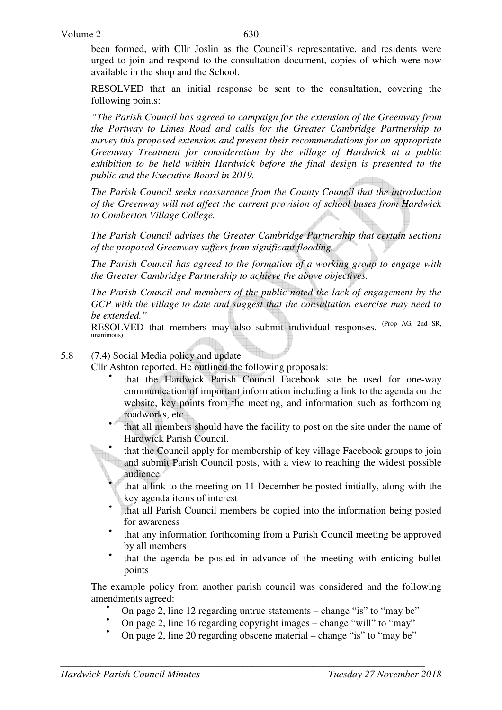Volume 2

been formed, with Cllr Joslin as the Council's representative, and residents were urged to join and respond to the consultation document, copies of which were now available in the shop and the School.

RESOLVED that an initial response be sent to the consultation, covering the following points:

*"The Parish Council has agreed to campaign for the extension of the Greenway from the Portway to Limes Road and calls for the Greater Cambridge Partnership to survey this proposed extension and present their recommendations for an appropriate Greenway Treatment for consideration by the village of Hardwick at a public exhibition to be held within Hardwick before the final design is presented to the public and the Executive Board in 2019.*

*The Parish Council seeks reassurance from the County Council that the introduction of the Greenway will not affect the current provision of school buses from Hardwick to Comberton Village College.*

*The Parish Council advises the Greater Cambridge Partnership that certain sections of the proposed Greenway suffers from significant flooding.*

*The Parish Council has agreed to the formation of a working group to engage with the Greater Cambridge Partnership to achieve the above objectives.*

*The Parish Council and members of the public noted the lack of engagement by the GCP with the village to date and suggest that the consultation exercise may need to be extended."* 

RESOLVED that members may also submit individual responses. <sup>(Prop AG, 2nd SR,</sup> unanimous)

5.8 (7.4) Social Media policy and update

Cllr Ashton reported. He outlined the following proposals: •

- that the Hardwick Parish Council Facebook site be used for one-way communication of important information including a link to the agenda on the website, key points from the meeting, and information such as forthcoming roadworks, etc.
- that all members should have the facility to post on the site under the name of Hardwick Parish Council.
- that the Council apply for membership of key village Facebook groups to join and submit Parish Council posts, with a view to reaching the widest possible audience
- that a link to the meeting on 11 December be posted initially, along with the key agenda items of interest
- that all Parish Council members be copied into the information being posted for awareness
- that any information forthcoming from a Parish Council meeting be approved by all members
- that the agenda be posted in advance of the meeting with enticing bullet points

The example policy from another parish council was considered and the following amendments agreed:

- On page 2, line 12 regarding untrue statements change "is" to "may be"
- On page 2, line 16 regarding copyright images change "will" to "may"
- On page 2, line 20 regarding obscene material change "is" to "may be"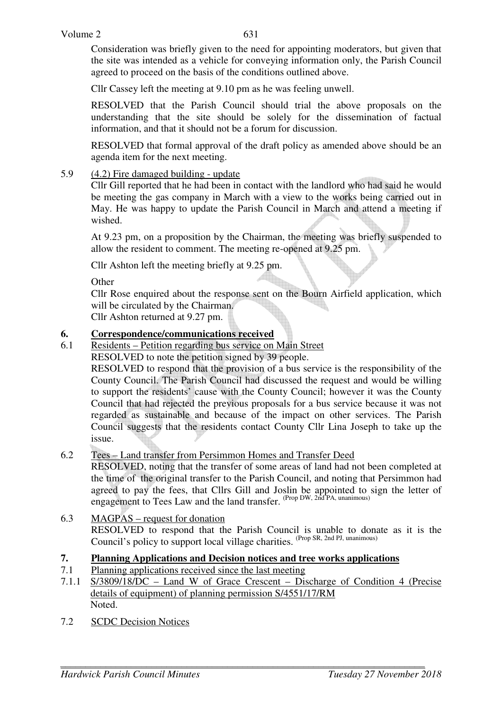Consideration was briefly given to the need for appointing moderators, but given that the site was intended as a vehicle for conveying information only, the Parish Council agreed to proceed on the basis of the conditions outlined above.

Cllr Cassey left the meeting at 9.10 pm as he was feeling unwell.

RESOLVED that the Parish Council should trial the above proposals on the understanding that the site should be solely for the dissemination of factual information, and that it should not be a forum for discussion.

RESOLVED that formal approval of the draft policy as amended above should be an agenda item for the next meeting.

# 5.9 (4.2) Fire damaged building - update

Cllr Gill reported that he had been in contact with the landlord who had said he would be meeting the gas company in March with a view to the works being carried out in May. He was happy to update the Parish Council in March and attend a meeting if wished.

At 9.23 pm, on a proposition by the Chairman, the meeting was briefly suspended to allow the resident to comment. The meeting re-opened at 9.25 pm.

Cllr Ashton left the meeting briefly at 9.25 pm.

**Other** 

Cllr Rose enquired about the response sent on the Bourn Airfield application, which will be circulated by the Chairman.

Cllr Ashton returned at 9.27 pm.

# **6. Correspondence/communications received**

6.1 Residents – Petition regarding bus service on Main Street

RESOLVED to note the petition signed by 39 people.

 RESOLVED to respond that the provision of a bus service is the responsibility of the County Council. The Parish Council had discussed the request and would be willing to support the residents' cause with the County Council; however it was the County Council that had rejected the previous proposals for a bus service because it was not regarded as sustainable and because of the impact on other services. The Parish Council suggests that the residents contact County Cllr Lina Joseph to take up the issue.

# 6.2 Tees – Land transfer from Persimmon Homes and Transfer Deed

 RESOLVED, noting that the transfer of some areas of land had not been completed at the time of the original transfer to the Parish Council, and noting that Persimmon had agreed to pay the fees, that Cllrs Gill and Joslin be appointed to sign the letter of engagement to Tees Law and the land transfer. (Prop DW, 2nd PA, unanimous)

6.3 MAGPAS – request for donation RESOLVED to respond that the Parish Council is unable to donate as it is the Council's policy to support local village charities. <sup>(Prop SR, 2nd PJ, unanimous)</sup>

# **7. Planning Applications and Decision notices and tree works applications**

- 7.1 Planning applications received since the last meeting
- 7.1.1 S/3809/18/DC Land W of Grace Crescent Discharge of Condition 4 (Precise details of equipment) of planning permission S/4551/17/RM Noted.
- 7.2 SCDC Decision Notices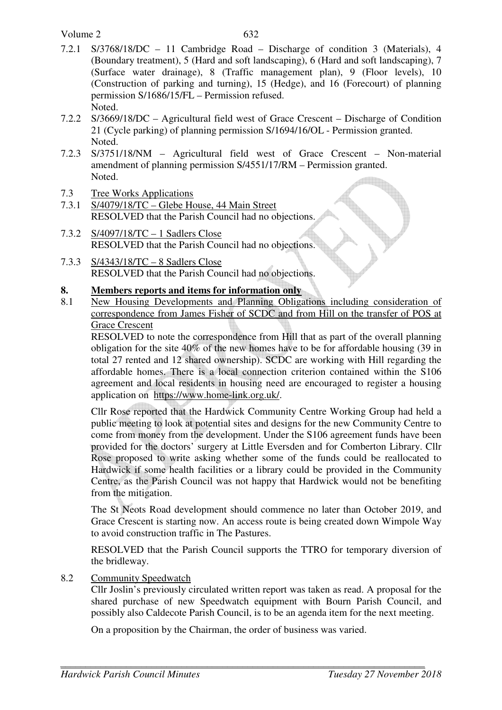Volume 2

- 7.2.1 S/3768/18/DC 11 Cambridge Road Discharge of condition 3 (Materials), 4 (Boundary treatment), 5 (Hard and soft landscaping), 6 (Hard and soft landscaping), 7 (Surface water drainage), 8 (Traffic management plan), 9 (Floor levels), 10 (Construction of parking and turning), 15 (Hedge), and 16 (Forecourt) of planning permission S/1686/15/FL – Permission refused. Noted.
- 7.2.2 S/3669/18/DC Agricultural field west of Grace Crescent Discharge of Condition 21 (Cycle parking) of planning permission S/1694/16/OL - Permission granted. Noted.
- 7.2.3 S/3751/18/NM Agricultural field west of Grace Crescent Non-material amendment of planning permission S/4551/17/RM – Permission granted. Noted.
- 7.3 Tree Works Applications
- 7.3.1 S/4079/18/TC Glebe House, 44 Main Street RESOLVED that the Parish Council had no objections.
- 7.3.2 S/4097/18/TC 1 Sadlers Close RESOLVED that the Parish Council had no objections.
- 7.3.3 S/4343/18/TC 8 Sadlers Close RESOLVED that the Parish Council had no objections.

# **8. Members reports and items for information only**

8.1 New Housing Developments and Planning Obligations including consideration of correspondence from James Fisher of SCDC and from Hill on the transfer of POS at Grace Crescent

RESOLVED to note the correspondence from Hill that as part of the overall planning obligation for the site  $40\%$  of the new homes have to be for affordable housing (39 in total 27 rented and 12 shared ownership). SCDC are working with Hill regarding the affordable homes. There is a local connection criterion contained within the S106 agreement and local residents in housing need are encouraged to register a housing application on https://www.home-link.org.uk/.

Cllr Rose reported that the Hardwick Community Centre Working Group had held a public meeting to look at potential sites and designs for the new Community Centre to come from money from the development. Under the S106 agreement funds have been provided for the doctors' surgery at Little Eversden and for Comberton Library. Cllr Rose proposed to write asking whether some of the funds could be reallocated to Hardwick if some health facilities or a library could be provided in the Community Centre, as the Parish Council was not happy that Hardwick would not be benefiting from the mitigation.

The St Neots Road development should commence no later than October 2019, and Grace Crescent is starting now. An access route is being created down Wimpole Way to avoid construction traffic in The Pastures.

RESOLVED that the Parish Council supports the TTRO for temporary diversion of the bridleway.

8.2 Community Speedwatch

Cllr Joslin's previously circulated written report was taken as read. A proposal for the shared purchase of new Speedwatch equipment with Bourn Parish Council, and possibly also Caldecote Parish Council, is to be an agenda item for the next meeting.

On a proposition by the Chairman, the order of business was varied.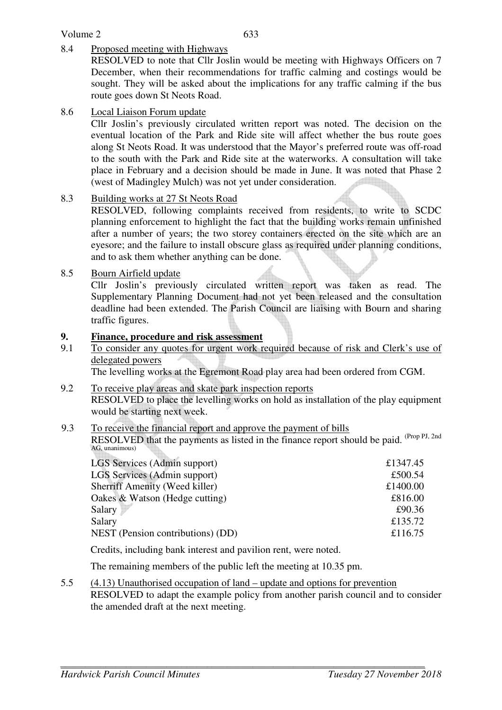# Volume 2

# 8.4 Proposed meeting with Highways

RESOLVED to note that Cllr Joslin would be meeting with Highways Officers on 7 December, when their recommendations for traffic calming and costings would be sought. They will be asked about the implications for any traffic calming if the bus route goes down St Neots Road.

### 8.6 Local Liaison Forum update

Cllr Joslin's previously circulated written report was noted. The decision on the eventual location of the Park and Ride site will affect whether the bus route goes along St Neots Road. It was understood that the Mayor's preferred route was off-road to the south with the Park and Ride site at the waterworks. A consultation will take place in February and a decision should be made in June. It was noted that Phase 2 (west of Madingley Mulch) was not yet under consideration.

#### 8.3 Building works at 27 St Neots Road

RESOLVED, following complaints received from residents, to write to SCDC planning enforcement to highlight the fact that the building works remain unfinished after a number of years; the two storey containers erected on the site which are an eyesore; and the failure to install obscure glass as required under planning conditions, and to ask them whether anything can be done.

#### 8.5 Bourn Airfield update

Cllr Joslin's previously circulated written report was taken as read. The Supplementary Planning Document had not yet been released and the consultation deadline had been extended. The Parish Council are liaising with Bourn and sharing traffic figures.

# **9. Finance, procedure and risk assessment**

9.1 To consider any quotes for urgent work required because of risk and Clerk's use of delegated powers

The levelling works at the Egremont Road play area had been ordered from CGM.

9.2 To receive play areas and skate park inspection reports RESOLVED to place the levelling works on hold as installation of the play equipment would be starting next week.

#### 9.3 To receive the financial report and approve the payment of bills RESOLVED that the payments as listed in the finance report should be paid. (Prop PJ, 2nd) AG, unanimous)

| LGS Services (Admin support)             | £1347.45 |
|------------------------------------------|----------|
| LGS Services (Admin support)             | £500.54  |
| <b>Sherriff Amenity (Weed killer)</b>    | £1400.00 |
| Oakes & Watson (Hedge cutting)           | £816.00  |
| Salary                                   | £90.36   |
| Salary                                   | £135.72  |
| <b>NEST</b> (Pension contributions) (DD) | £116.75  |
|                                          |          |

Credits, including bank interest and pavilion rent, were noted.

The remaining members of the public left the meeting at 10.35 pm.

5.5 (4.13) Unauthorised occupation of land – update and options for prevention RESOLVED to adapt the example policy from another parish council and to consider the amended draft at the next meeting.